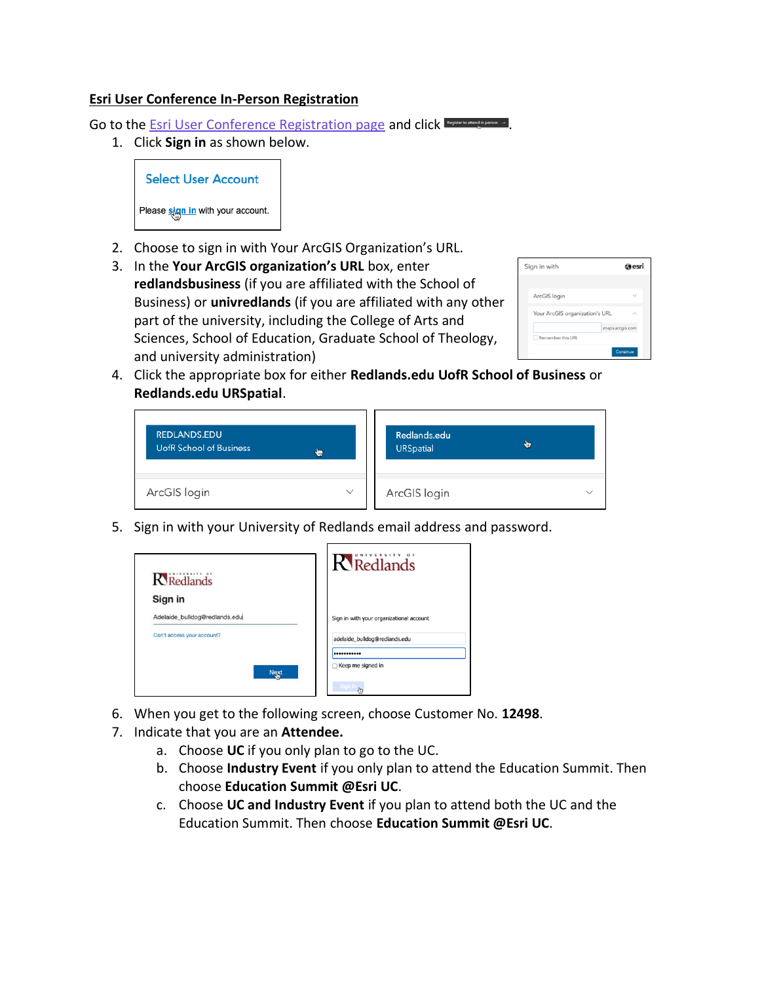## **Esri User Conference In-Person Registration**

Go to the **[Esri User Conference Registration page](https://www.esri.com/en-us/about/events/uc/registration) and click Experiment of Page 2**.

1. Click **Sign in** as shown below.

**Select User Account** Please *sign in* with your account.

- 2. Choose to sign in with Your ArcGIS Organization's URL.
- 3. In the **Your ArcGIS organization's URL** box, enter **redlandsbusiness** (if you are affiliated with the School of Business) or **univredlands** (if you are affiliated with any other part of the university, including the College of Arts and Sciences, School of Education, Graduate School of Theology, and university administration)

| Sign in with                   | @esri            |
|--------------------------------|------------------|
|                                |                  |
| ArcGIS login                   |                  |
| Your ArcGIS organization's URL |                  |
|                                | .maps.arcgis.com |
| Remember this URL              |                  |
|                                | Continue         |

4. Click the appropriate box for either **Redlands.edu UofR School of Business** or **Redlands.edu URSpatial**.

| <b>REDLANDS.EDU</b>            | Redlands.edu     |
|--------------------------------|------------------|
| <b>UofR School of Business</b> | ₩                |
| ₩                              | <b>URSpatial</b> |
| ArcGIS login<br>$\checkmark$   | ArcGIS login     |

5. Sign in with your University of Redlands email address and password.

| <b>R</b> Redlands             | <b>R</b> Redlands                        |
|-------------------------------|------------------------------------------|
| Sign in                       |                                          |
| Adelaide_bulldog@redlands.edu | Sign in with your organizational account |
| Can't access your account?    | adelaide_bulldog@redlands.edu            |
|                               |                                          |
| <b>Next</b>                   | Keep me signed in                        |
|                               |                                          |

- 6. When you get to the following screen, choose Customer No. **12498**.
- 7. Indicate that you are an **Attendee.**
	- a. Choose **UC** if you only plan to go to the UC.
	- b. Choose **Industry Event** if you only plan to attend the Education Summit. Then choose **Education Summit @Esri UC**.
	- c. Choose **UC and Industry Event** if you plan to attend both the UC and the Education Summit. Then choose **Education Summit @Esri UC**.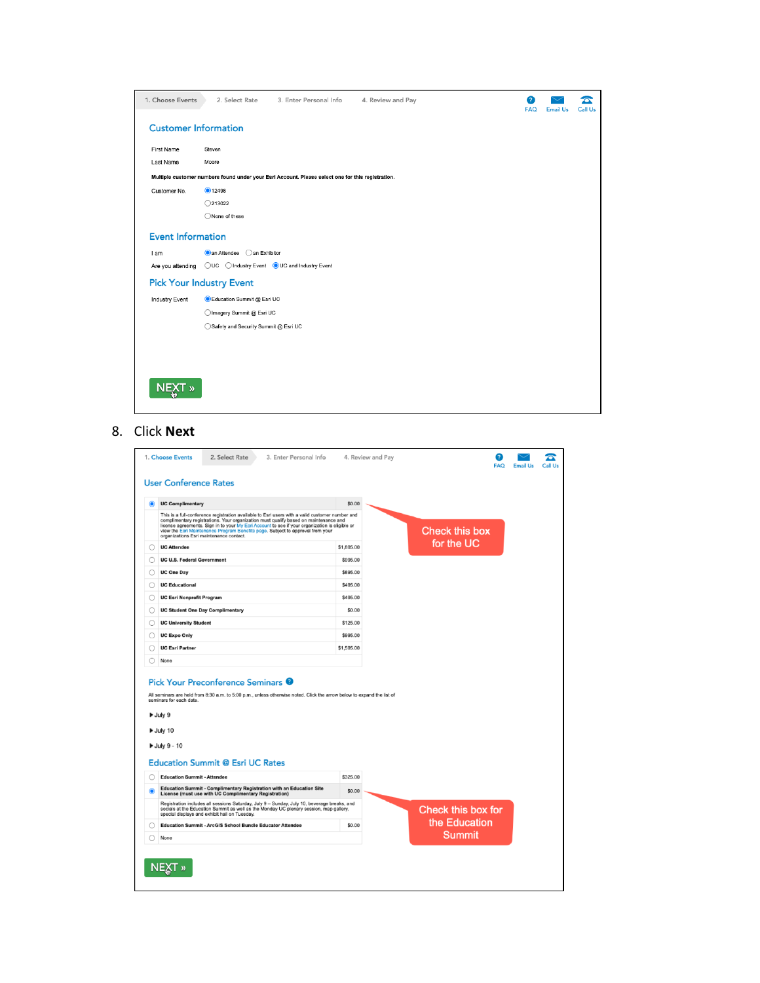| 1. Choose Events             | 3. Enter Personal Info<br>2. Select Rate                                                          | 4. Review and Pay | 3<br><b>FAQ</b> | <b>Email Us</b> | Call Us |
|------------------------------|---------------------------------------------------------------------------------------------------|-------------------|-----------------|-----------------|---------|
| <b>Customer Information</b>  |                                                                                                   |                   |                 |                 |         |
| First Name                   | Steven                                                                                            |                   |                 |                 |         |
| Last Name                    | Moore                                                                                             |                   |                 |                 |         |
|                              | Multiple customer numbers found under your Esri Account. Please select one for this registration. |                   |                 |                 |         |
| Customer No.                 | ●12498                                                                                            |                   |                 |                 |         |
|                              | $\bigcirc$ 213022                                                                                 |                   |                 |                 |         |
|                              | ◯None of these                                                                                    |                   |                 |                 |         |
| <b>Event Information</b>     |                                                                                                   |                   |                 |                 |         |
| I am                         | an Attendee<br>an Exhibitor                                                                       |                   |                 |                 |         |
| Are you attending            | ◯UC ◯ Industry Event ● UC and Industry Event                                                      |                   |                 |                 |         |
|                              | <b>Pick Your Industry Event</b>                                                                   |                   |                 |                 |         |
| <b>Industry Event</b>        | Education Summit @ Esri UC                                                                        |                   |                 |                 |         |
|                              | Imagery Summit @ Esri UC                                                                          |                   |                 |                 |         |
|                              | Safety and Security Summit @ Esri UC                                                              |                   |                 |                 |         |
|                              |                                                                                                   |                   |                 |                 |         |
|                              |                                                                                                   |                   |                 |                 |         |
|                              |                                                                                                   |                   |                 |                 |         |
| <b>NEXT</b><br>$\mathcal{P}$ |                                                                                                   |                   |                 |                 |         |

## 8. Click **Next**

|                       | <b>UC Complimentary</b>                                                                                                                                                                                                                                                                                                                                                                                                                                                                                                                                          | \$0.00     |  |               |                       |                                     |
|-----------------------|------------------------------------------------------------------------------------------------------------------------------------------------------------------------------------------------------------------------------------------------------------------------------------------------------------------------------------------------------------------------------------------------------------------------------------------------------------------------------------------------------------------------------------------------------------------|------------|--|---------------|-----------------------|-------------------------------------|
|                       | This is a full-conference registration available to Esri users with a valid customer number and<br>complimentary registrations. Your organization must qualify based on maintenance and<br>license agreements. Sign in to your My Esri Account to see if your organization is eligible or<br>view the Esri Maintenance Program Benefits page. Subject to approval from your<br>organizations Esri maintenance contact.                                                                                                                                           |            |  |               | <b>Check this box</b> |                                     |
|                       | <b>UC Attendee</b>                                                                                                                                                                                                                                                                                                                                                                                                                                                                                                                                               | \$1,895.00 |  |               | for the UC            |                                     |
|                       | <b>UC U.S. Federal Government</b>                                                                                                                                                                                                                                                                                                                                                                                                                                                                                                                                | \$995.00   |  |               |                       |                                     |
| <b>UC One Day</b>     |                                                                                                                                                                                                                                                                                                                                                                                                                                                                                                                                                                  | \$895.00   |  |               |                       |                                     |
| <b>UC Educational</b> |                                                                                                                                                                                                                                                                                                                                                                                                                                                                                                                                                                  | \$495.00   |  |               |                       |                                     |
|                       | <b>UC Esri Nonprofit Program</b>                                                                                                                                                                                                                                                                                                                                                                                                                                                                                                                                 | \$495.00   |  |               |                       |                                     |
|                       | <b>UC Student One Day Complimentary</b>                                                                                                                                                                                                                                                                                                                                                                                                                                                                                                                          | \$0.00     |  |               |                       |                                     |
|                       | <b>UC University Student</b>                                                                                                                                                                                                                                                                                                                                                                                                                                                                                                                                     | \$125.00   |  |               |                       |                                     |
|                       | <b>UC Expo Only</b>                                                                                                                                                                                                                                                                                                                                                                                                                                                                                                                                              | \$995.00   |  |               |                       |                                     |
|                       |                                                                                                                                                                                                                                                                                                                                                                                                                                                                                                                                                                  |            |  |               |                       |                                     |
|                       |                                                                                                                                                                                                                                                                                                                                                                                                                                                                                                                                                                  | \$1,595.00 |  |               |                       |                                     |
|                       | <b>UC Esri Partner</b><br>None<br>Pick Your Preconference Seminars <sup>@</sup><br>All seminars are held from 8:30 a.m. to 5:00 p.m., unless otherwise noted. Click the arrow below to expand the list of<br>seminars for each date.                                                                                                                                                                                                                                                                                                                             |            |  |               |                       |                                     |
|                       |                                                                                                                                                                                                                                                                                                                                                                                                                                                                                                                                                                  |            |  |               |                       |                                     |
|                       |                                                                                                                                                                                                                                                                                                                                                                                                                                                                                                                                                                  | \$325.00   |  |               |                       |                                     |
|                       |                                                                                                                                                                                                                                                                                                                                                                                                                                                                                                                                                                  | \$0.00     |  |               |                       |                                     |
|                       | Uuly 9<br>July 10<br><b>July 9 - 10</b><br><b>Education Summit @ Esri UC Rates</b><br><b>Education Summit - Attendee</b><br>Education Summit - Complimentary Registration with an Education Site<br>License (must use with UC Complimentary Registration)<br>Registration includes all sessions Saturday, July 9 - Sunday, July 10, beverage breaks, and<br>socials at the Education Summit as well as the Monday UC plenary session, map gallery,<br>special displays and exhibit hall on Tuesday.<br>Education Summit - ArcGIS School Bundle Educator Attendee | \$0.00     |  | <b>Summit</b> |                       | Check this box for<br>the Education |